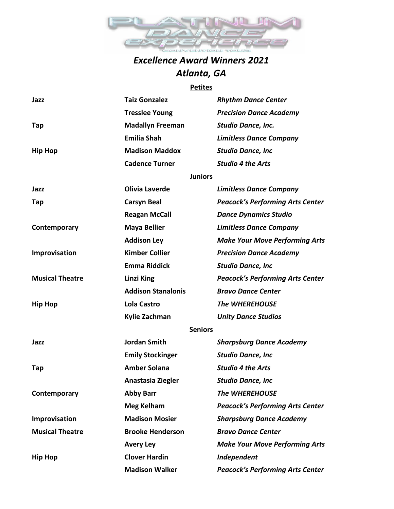

## *Excellence Award Winners 2021 Atlanta, GA*

#### **Petites**

| Jazz                   | <b>Taiz Gonzalez</b>      | <b>Rhythm Dance Center</b>              |
|------------------------|---------------------------|-----------------------------------------|
|                        | <b>Tresslee Young</b>     | <b>Precision Dance Academy</b>          |
| Tap                    | <b>Madallyn Freeman</b>   | Studio Dance, Inc.                      |
|                        | <b>Emilia Shah</b>        | <b>Limitless Dance Company</b>          |
| <b>Hip Hop</b>         | <b>Madison Maddox</b>     | <b>Studio Dance, Inc</b>                |
|                        | <b>Cadence Turner</b>     | <b>Studio 4 the Arts</b>                |
|                        | <b>Juniors</b>            |                                         |
| Jazz                   | <b>Olivia Laverde</b>     | <b>Limitless Dance Company</b>          |
| Tap                    | <b>Carsyn Beal</b>        | <b>Peacock's Performing Arts Center</b> |
|                        | <b>Reagan McCall</b>      | <b>Dance Dynamics Studio</b>            |
| Contemporary           | <b>Maya Bellier</b>       | <b>Limitless Dance Company</b>          |
|                        | <b>Addison Ley</b>        | <b>Make Your Move Performing Arts</b>   |
| Improvisation          | <b>Kimber Collier</b>     | <b>Precision Dance Academy</b>          |
|                        | <b>Emma Riddick</b>       | <b>Studio Dance, Inc</b>                |
| <b>Musical Theatre</b> | <b>Linzi King</b>         | <b>Peacock's Performing Arts Center</b> |
|                        | <b>Addison Stanalonis</b> | <b>Bravo Dance Center</b>               |
| <b>Hip Hop</b>         | <b>Lola Castro</b>        | <b>The WHEREHOUSE</b>                   |
|                        | Kylie Zachman             | <b>Unity Dance Studios</b>              |
|                        | <b>Seniors</b>            |                                         |
| Jazz                   | <b>Jordan Smith</b>       | <b>Sharpsburg Dance Academy</b>         |
|                        | <b>Emily Stockinger</b>   | <b>Studio Dance, Inc</b>                |
| Tap                    | <b>Amber Solana</b>       | <b>Studio 4 the Arts</b>                |
|                        | Anastasia Ziegler         | <b>Studio Dance, Inc</b>                |
| Contemporary           | <b>Abby Barr</b>          | <b>The WHEREHOUSE</b>                   |
|                        | <b>Meg Kelham</b>         | <b>Peacock's Performing Arts Center</b> |
| Improvisation          | <b>Madison Mosier</b>     | <b>Sharpsburg Dance Academy</b>         |
| <b>Musical Theatre</b> | <b>Brooke Henderson</b>   | <b>Bravo Dance Center</b>               |
|                        | <b>Avery Ley</b>          | <b>Make Your Move Performing Arts</b>   |
| <b>Hip Hop</b>         | <b>Clover Hardin</b>      | Independent                             |
|                        | <b>Madison Walker</b>     | <b>Peacock's Performing Arts Center</b> |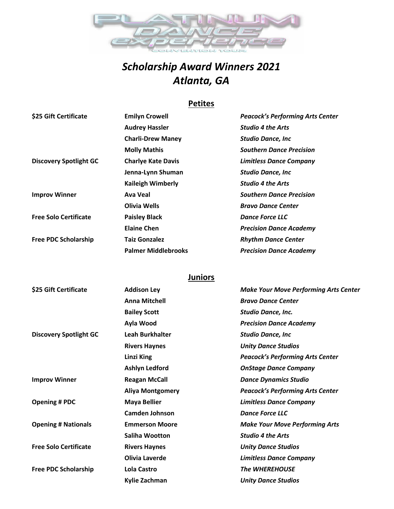

# *Scholarship Award Winners 2021 Atlanta, GA*

### **Petites**

| \$25 Gift Certificate         | <b>Emilyn Crowell</b>      | <b>Peacock's Performing Arts Center</b> |
|-------------------------------|----------------------------|-----------------------------------------|
|                               | <b>Audrey Hassler</b>      | <b>Studio 4 the Arts</b>                |
|                               | <b>Charli-Drew Maney</b>   | <b>Studio Dance, Inc</b>                |
|                               | <b>Molly Mathis</b>        | <b>Southern Dance Precision</b>         |
| <b>Discovery Spotlight GC</b> | <b>Charlye Kate Davis</b>  | <b>Limitless Dance Company</b>          |
|                               | Jenna-Lynn Shuman          | <b>Studio Dance, Inc.</b>               |
|                               | <b>Kaileigh Wimberly</b>   | <b>Studio 4 the Arts</b>                |
| <b>Improv Winner</b>          | Ava Veal                   | <b>Southern Dance Precision</b>         |
|                               | Olivia Wells               | <b>Bravo Dance Center</b>               |
| <b>Free Solo Certificate</b>  | <b>Paisley Black</b>       | <b>Dance Force LLC</b>                  |
|                               | <b>Elaine Chen</b>         | <b>Precision Dance Academy</b>          |
| <b>Free PDC Scholarship</b>   | <b>Taiz Gonzalez</b>       | <b>Rhythm Dance Center</b>              |
|                               | <b>Palmer Middlebrooks</b> | <b>Precision Dance Academy</b>          |

### **Juniors**

| \$25 Gift Certificate         | <b>Addison Ley</b>      | <b>Make Your Move Performing Arts Center</b> |
|-------------------------------|-------------------------|----------------------------------------------|
|                               | <b>Anna Mitchell</b>    | <b>Bravo Dance Center</b>                    |
|                               | <b>Bailey Scott</b>     | <b>Studio Dance, Inc.</b>                    |
|                               | Ayla Wood               | <b>Precision Dance Academy</b>               |
| <b>Discovery Spotlight GC</b> | <b>Leah Burkhalter</b>  | <b>Studio Dance, Inc</b>                     |
|                               | <b>Rivers Haynes</b>    | <b>Unity Dance Studios</b>                   |
|                               | Linzi King              | <b>Peacock's Performing Arts Center</b>      |
|                               | <b>Ashlyn Ledford</b>   | <b>OnStage Dance Company</b>                 |
| <b>Improv Winner</b>          | <b>Reagan McCall</b>    | <b>Dance Dynamics Studio</b>                 |
|                               | <b>Aliya Montgomery</b> | <b>Peacock's Performing Arts Center</b>      |
| <b>Opening # PDC</b>          | <b>Maya Bellier</b>     | <b>Limitless Dance Company</b>               |
|                               | <b>Camden Johnson</b>   | <b>Dance Force LLC</b>                       |
| <b>Opening # Nationals</b>    | <b>Emmerson Moore</b>   | <b>Make Your Move Performing Arts</b>        |
|                               | <b>Saliha Wootton</b>   | <b>Studio 4 the Arts</b>                     |
| <b>Free Solo Certificate</b>  | <b>Rivers Haynes</b>    | <b>Unity Dance Studios</b>                   |
|                               | <b>Olivia Laverde</b>   | <b>Limitless Dance Company</b>               |
| <b>Free PDC Scholarship</b>   | Lola Castro             | <b>The WHEREHOUSE</b>                        |
|                               | Kylie Zachman           | <b>Unity Dance Studios</b>                   |